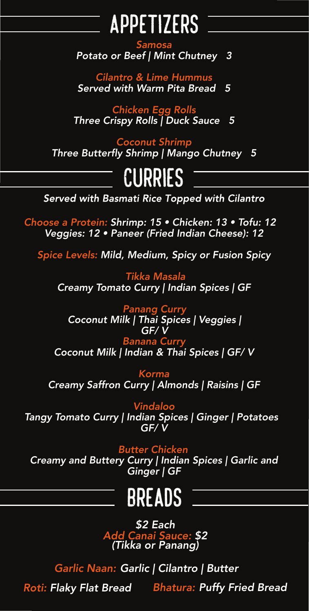### Appetizers -

#### *Samosa*

*Potato or Beef | Mint Chutney 3*

#### *Cilantro & Lime Hummus Served with Warm Pita Bread 5*

#### *Chicken Egg Rolls Three Crispy Rolls | Duck Sauce 5*

#### *Coconut Shrimp*

*Three Butterfly Shrimp | Mango Chutney 5*

# Curries Communications

**Served with Basmati Rice Topped with Cilantro** 

*Choose a Protein: Shrimp: 1*5 *• Chicken: 1*3 *• Tofu: 1*2 *Veggies: 1*2 *• Paneer (Fried Indian Cheese): 1*2

*Spice Levels: Mild, Medium, Spicy or Fusion Spicy*

*Tikka Masala Creamy Tomato Curry | Indian Spices | GF*

*Panang Curry Coconut Milk | Thai Spices | Veggies | GF/ V Banana Curry Coconut Milk | Indian & Thai Spices | GF/ V Korma Creamy Saffron Curry | Almonds | Raisins | GF Vindaloo Tangy Tomato Curry | Indian Spices | Ginger | Potatoes GF/ V*

#### *Butter Chicken*

*Creamy and Buttery Curry | Indian Spices | Garlic and Ginger | GF*



### Breads

#### *\$2 Each Add Canai Sauce: \$2 (Tikka or Panang)*

### *Roti: Flaky Flat Bread Bhatura: Puffy Fried Bread Garlic Naan: Garlic | Cilantro | Butter*